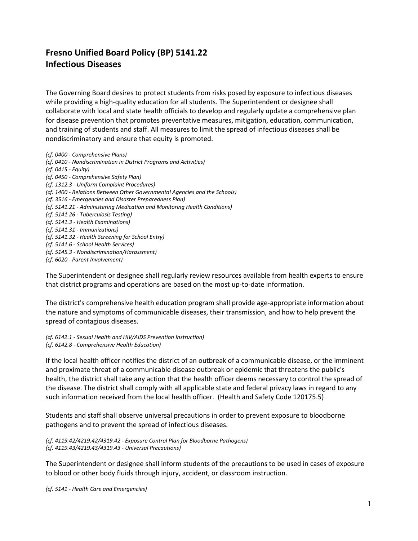## **Fresno Unified Board Policy (BP) 5141.22 Infectious Diseases**

The Governing Board desires to protect students from risks posed by exposure to infectious diseases while providing a high-quality education for all students. The Superintendent or designee shall collaborate with local and state health officials to develop and regularly update a comprehensive plan for disease prevention that promotes preventative measures, mitigation, education, communication, and training of students and staff. All measures to limit the spread of infectious diseases shall be nondiscriminatory and ensure that equity is promoted.

*(cf. 0400 - Comprehensive Plans) (cf. 0410 - Nondiscrimination in District Programs and Activities) (cf. 0415 - Equity) (cf. 0450 - Comprehensive Safety Plan) (cf. 1312.3 - Uniform Complaint Procedures) (cf. 1400 - Relations Between Other Governmental Agencies and the Schools) (cf. 3516 - Emergencies and Disaster Preparedness Plan) (cf. 5141.21 - Administering Medication and Monitoring Health Conditions) (cf. 5141.26 - Tuberculosis Testing) (cf. 5141.3 - Health Examinations) (cf. 5141.31 - Immunizations) (cf. 5141.32 - Health Screening for School Entry) (cf. 5141.6 - School Health Services) (cf. 5145.3 - Nondiscrimination/Harassment) (cf. 6020 - Parent Involvement)*

The Superintendent or designee shall regularly review resources available from health experts to ensure that district programs and operations are based on the most up-to-date information.

The district's comprehensive health education program shall provide age-appropriate information about the nature and symptoms of communicable diseases, their transmission, and how to help prevent the spread of contagious diseases.

*(cf. 6142.1 - Sexual Health and HIV/AIDS Prevention Instruction) (cf. 6142.8 - Comprehensive Health Education)*

If the local health officer notifies the district of an outbreak of a communicable disease, or the imminent and proximate threat of a communicable disease outbreak or epidemic that threatens the public's health, the district shall take any action that the health officer deems necessary to control the spread of the disease. The district shall comply with all applicable state and federal privacy laws in regard to any such information received from the local health officer. (Health and Safety Code 120175.5)

Students and staff shall observe universal precautions in order to prevent exposure to bloodborne pathogens and to prevent the spread of infectious diseases.

*(cf. 4119.42/4219.42/4319.42 - Exposure Control Plan for Bloodborne Pathogens) (cf. 4119.43/4219.43/4319.43 - Universal Precautions)*

The Superintendent or designee shall inform students of the precautions to be used in cases of exposure to blood or other body fluids through injury, accident, or classroom instruction.

*(cf. 5141 - Health Care and Emergencies)*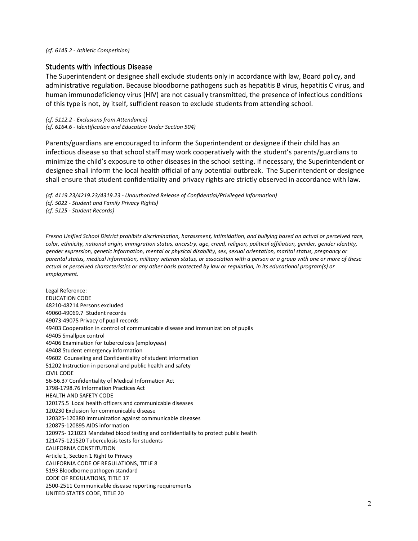*(cf. 6145.2 - Athletic Competition)*

## Students with Infectious Disease

The Superintendent or designee shall exclude students only in accordance with law, Board policy, and administrative regulation. Because bloodborne pathogens such as hepatitis B virus, hepatitis C virus, and human immunodeficiency virus (HIV) are not casually transmitted, the presence of infectious conditions of this type is not, by itself, sufficient reason to exclude students from attending school.

*(cf. 5112.2 - Exclusions from Attendance) (cf. 6164.6 - Identification and Education Under Section 504)*

Parents/guardians are encouraged to inform the Superintendent or designee if their child has an infectious disease so that school staff may work cooperatively with the student's parents/guardians to minimize the child's exposure to other diseases in the school setting. If necessary, the Superintendent or designee shall inform the local health official of any potential outbreak. The Superintendent or designee shall ensure that student confidentiality and privacy rights are strictly observed in accordance with law.

*(cf. 4119.23/4219.23/4319.23 - Unauthorized Release of Confidential/Privileged Information) (cf. 5022 - Student and Family Privacy Rights) (cf. 5125 - Student Records)*

*Fresno Unified School District prohibits discrimination, harassment, intimidation, and bullying based on actual or perceived race, color, ethnicity, national origin, immigration status, ancestry, age, creed, religion, political affiliation, gender, gender identity, gender expression, genetic information, mental or physical disability, sex, sexual orientation, marital status, pregnancy or parental status, medical information, military veteran status, or association with a person or a group with one or more of these actual or perceived characteristics or any other basis protected by law or regulation, in its educational program(s) or employment.*

Legal Reference: EDUCATION CODE [48210-](http://www.fresnounified.org/board/policies/Policies/fusd/displaypolicy/132094/5.htm)48214 Persons excluded 49060-49069.7 Student records [49073](http://www.fresnounified.org/board/policies/Policies/fusd/displaypolicy/132291/5.htm)[-49075](http://www.fresnounified.org/board/policies/Policies/fusd/displaypolicy/132294/5.htm) Privacy of pupil records [49403 C](http://www.fresnounified.org/board/policies/Policies/fusd/displaypolicy/132346/5.htm)ooperation in control of communicable disease and immunization of pupils [49405 S](http://www.fresnounified.org/board/policies/Policies/fusd/displaypolicy/132347/5.htm)mallpox control [49406 E](http://www.fresnounified.org/board/policies/Policies/fusd/displaypolicy/132348/5.htm)xamination for tuberculosis (employees) [49408 S](http://www.fresnounified.org/board/policies/Policies/fusd/displaypolicy/132350/5.htm)tudent emergency information [49602 C](http://www.fresnounified.org/board/policies/Policies/fusd/displaypolicy/132424/5.htm)ounseling and Confidentiality of student information 51202 Instruction in personal and public health and safety CIVIL CODE [56-](http://www.fresnounified.org/board/policies/Policies/fusd/displaypolicy/122381/5.htm)[56.37 C](http://www.fresnounified.org/board/policies/Policies/fusd/displaypolicy/122405/5.htm)onfidentiality of Medical Information Act [1798](http://www.fresnounified.org/board/policies/Policies/fusd/displaypolicy/369607/5.htm)[-1798.76 In](http://www.fresnounified.org/board/policies/Policies/fusd/displaypolicy/369668/5.htm)formation Practices Act HEALTH AND SAFETY CODE 120175.5 Local health officers and communicable diseases [120230 E](http://www.fresnounified.org/board/policies/Policies/fusd/displaypolicy/149785/5.htm)xclusion for communicable disease [120325-](http://www.fresnounified.org/board/policies/Policies/fusd/displaypolicy/149796/5.htm)[120380 Im](http://www.fresnounified.org/board/policies/Policies/fusd/displaypolicy/150062/5.htm)munization against communicable diseases [120875-](http://www.fresnounified.org/board/policies/Policies/fusd/displaypolicy/149806/5.htm)[120895](http://www.fresnounified.org/board/policies/Policies/fusd/displaypolicy/149810/5.htm) AIDS information [120975-](http://www.fresnounified.org/board/policies/Policies/fusd/displaypolicy/149572/5.htm) 121023 Mandated blood testing and confidentiality to protect public health [121475-](http://www.fresnounified.org/board/policies/Policies/fusd/displaypolicy/149605/5.htm)[121520](http://www.fresnounified.org/board/policies/Policies/fusd/displaypolicy/149614/5.htm) Tuberculosis tests for students CALIFORNIA CONSTITUTION Article 1, Section 1 Right to Privacy CALIFORNIA CODE OF REGULATIONS, TITLE 8 [5193](http://www.fresnounified.org/board/policies/Policies/fusd/displaypolicy/368009/5.htm) Bloodborne pathogen standard CODE OF REGULATIONS, TITLE 17 2500-2511 Communicable disease reporting requirements UNITED STATES CODE, TITLE 20